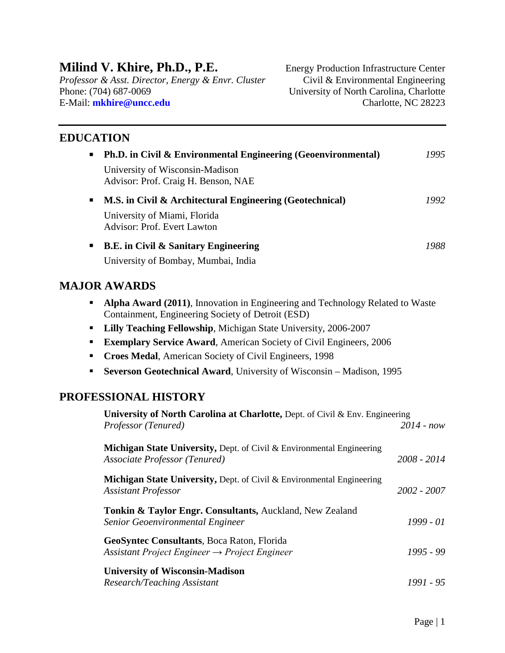# **Milind V. Khire, Ph.D., P.E.** Energy Production Infrastructure Center

*Professor & Asst. Director, Energy & Envr. Cluster* Civil & Environmental Engineering E-Mail: **[mkhire@uncc.edu](mailto:khire@uncc.edu)** Charlotte, NC 28223

University of North Carolina, Charlotte

## **EDUCATION**

| ٠              | <b>Ph.D.</b> in Civil & Environmental Engineering (Geoenvironmental)   | 1995 |
|----------------|------------------------------------------------------------------------|------|
|                | University of Wisconsin-Madison<br>Advisor: Prof. Craig H. Benson, NAE |      |
| $\blacksquare$ | M.S. in Civil & Architectural Engineering (Geotechnical)               | 1992 |
|                | University of Miami, Florida<br><b>Advisor: Prof. Evert Lawton</b>     |      |
| п              | <b>B.E.</b> in Civil & Sanitary Engineering                            | 1988 |
|                | University of Bombay, Mumbai, India                                    |      |

### **MAJOR AWARDS**

- **Alpha Award (2011)**, Innovation in Engineering and Technology Related to Waste Containment, Engineering Society of Detroit (ESD)
- **Lilly Teaching Fellowship**, Michigan State University, 2006-2007
- **Exemplary Service Award**, American Society of Civil Engineers, 2006
- **Croes Medal, American Society of Civil Engineers, 1998**
- **Severson Geotechnical Award**, University of Wisconsin Madison, 1995

### **PROFESSIONAL HISTORY**

| University of North Carolina at Charlotte, Dept. of Civil & Env. Engineering                                      |               |  |  |
|-------------------------------------------------------------------------------------------------------------------|---------------|--|--|
| Professor (Tenured)                                                                                               | $2014 - now$  |  |  |
| <b>Michigan State University, Dept. of Civil &amp; Environmental Engineering</b><br>Associate Professor (Tenured) | $2008 - 2014$ |  |  |
| <b>Michigan State University, Dept. of Civil &amp; Environmental Engineering</b><br><b>Assistant Professor</b>    | 2002 - 2007   |  |  |
| <b>Tonkin &amp; Taylor Engr. Consultants, Auckland, New Zealand</b><br>Senior Geoenvironmental Engineer           | $1999 - 01$   |  |  |
| <b>GeoSyntec Consultants, Boca Raton, Florida</b><br>Assistant Project Engineer $\rightarrow$ Project Engineer    | $1995 - 99$   |  |  |
| <b>University of Wisconsin-Madison</b><br>Research/Teaching Assistant                                             | 1991 - 95     |  |  |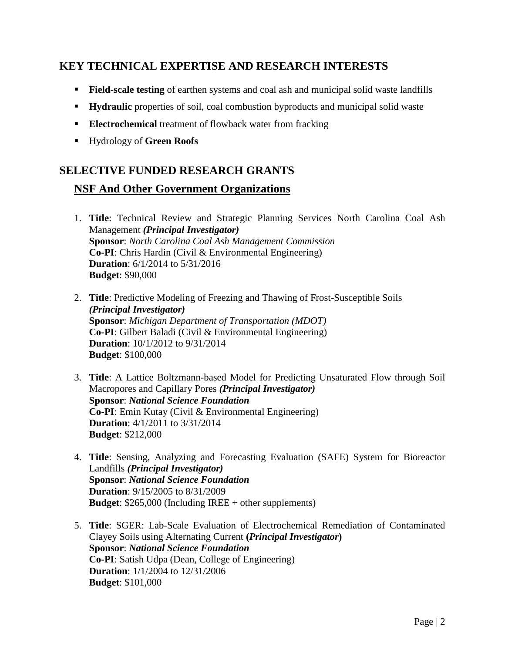## **KEY TECHNICAL EXPERTISE AND RESEARCH INTERESTS**

- **Field-scale testing** of earthen systems and coal ash and municipal solid waste landfills
- **Hydraulic** properties of soil, coal combustion byproducts and municipal solid waste
- **Electrochemical** treatment of flowback water from fracking
- Hydrology of **Green Roofs**

## **SELECTIVE FUNDED RESEARCH GRANTS**

### **NSF And Other Government Organizations**

- 1. **Title**: Technical Review and Strategic Planning Services North Carolina Coal Ash Management *(Principal Investigator)* **Sponsor**: *North Carolina Coal Ash Management Commission* **Co-PI**: Chris Hardin (Civil & Environmental Engineering) **Duration**: 6/1/2014 to 5/31/2016 **Budget**: \$90,000
- 2. **Title**: Predictive Modeling of Freezing and Thawing of Frost-Susceptible Soils *(Principal Investigator)* **Sponsor**: *Michigan Department of Transportation (MDOT)* **Co-PI**: Gilbert Baladi (Civil & Environmental Engineering) **Duration**: 10/1/2012 to 9/31/2014 **Budget**: \$100,000
- 3. **Title**: A Lattice Boltzmann-based Model for Predicting Unsaturated Flow through Soil Macropores and Capillary Pores *(Principal Investigator)* **Sponsor**: *National Science Foundation* **Co-PI**: Emin Kutay (Civil & Environmental Engineering) **Duration**: 4/1/2011 to 3/31/2014 **Budget**: \$212,000
- 4. **Title**: Sensing, Analyzing and Forecasting Evaluation (SAFE) System for Bioreactor Landfills *(Principal Investigator)* **Sponsor**: *National Science Foundation* **Duration**: 9/15/2005 to 8/31/2009 **Budget**: \$265,000 (Including IREE + other supplements)
- 5. **Title**: SGER: Lab-Scale Evaluation of Electrochemical Remediation of Contaminated Clayey Soils using Alternating Current **(***Principal Investigator***) Sponsor**: *National Science Foundation* **Co-PI**: Satish Udpa (Dean, College of Engineering) **Duration**: 1/1/2004 to 12/31/2006 **Budget**: \$101,000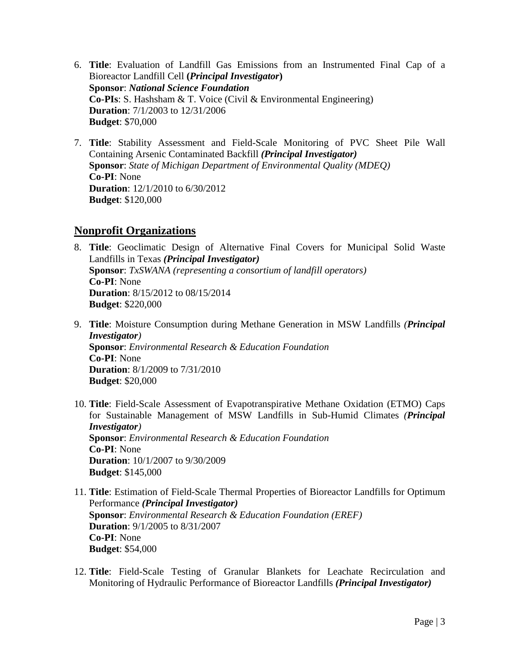- 6. **Title**: Evaluation of Landfill Gas Emissions from an Instrumented Final Cap of a Bioreactor Landfill Cell **(***Principal Investigator***) Sponsor**: *National Science Foundation* **Co-PIs**: S. Hashsham & T. Voice (Civil & Environmental Engineering) **Duration**: 7/1/2003 to 12/31/2006 **Budget**: \$70,000
- 7. **Title**: Stability Assessment and Field-Scale Monitoring of PVC Sheet Pile Wall Containing Arsenic Contaminated Backfill *(Principal Investigator)* **Sponsor**: *State of Michigan Department of Environmental Quality (MDEQ)* **Co-PI**: None **Duration**: 12/1/2010 to 6/30/2012 **Budget**: \$120,000

### **Nonprofit Organizations**

- 8. **Title**: Geoclimatic Design of Alternative Final Covers for Municipal Solid Waste Landfills in Texas *(Principal Investigator)* **Sponsor**: *TxSWANA (representing a consortium of landfill operators)* **Co-PI**: None **Duration**: 8/15/2012 to 08/15/2014 **Budget**: \$220,000
- 9. **Title**: Moisture Consumption during Methane Generation in MSW Landfills *(Principal Investigator)* **Sponsor**: *Environmental Research & Education Foundation* **Co-PI**: None **Duration**: 8/1/2009 to 7/31/2010 **Budget**: \$20,000
- 10. **Title**: Field-Scale Assessment of Evapotranspirative Methane Oxidation (ETMO) Caps for Sustainable Management of MSW Landfills in Sub-Humid Climates *(Principal Investigator)* **Sponsor**: *Environmental Research & Education Foundation* **Co-PI**: None **Duration**: 10/1/2007 to 9/30/2009 **Budget**: \$145,000
- 11. **Title**: Estimation of Field-Scale Thermal Properties of Bioreactor Landfills for Optimum Performance *(Principal Investigator)* **Sponsor**: *Environmental Research & Education Foundation (EREF)* **Duration**: 9/1/2005 to 8/31/2007 **Co-PI**: None **Budget**: \$54,000
- 12. **Title**: Field-Scale Testing of Granular Blankets for Leachate Recirculation and Monitoring of Hydraulic Performance of Bioreactor Landfills *(Principal Investigator)*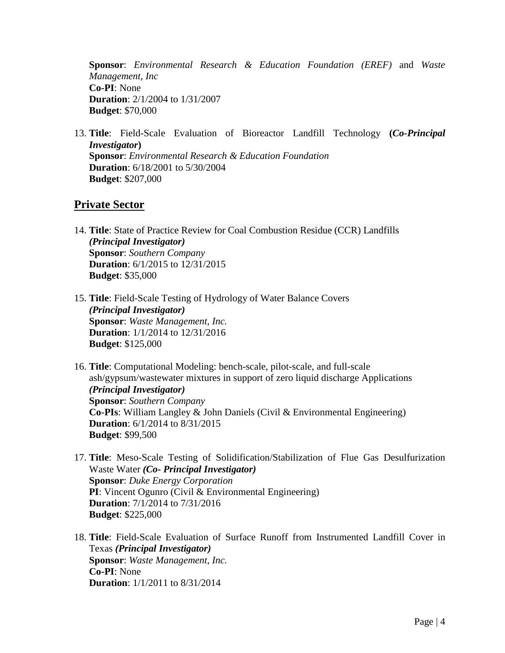**Sponsor**: *Environmental Research & Education Foundation (EREF)* and *Waste Management, Inc* **Co-PI**: None **Duration**: 2/1/2004 to 1/31/2007 **Budget**: \$70,000

13. **Title**: Field-Scale Evaluation of Bioreactor Landfill Technology **(***Co-Principal Investigator***) Sponsor**: *Environmental Research & Education Foundation* **Duration**: 6/18/2001 to 5/30/2004 **Budget**: \$207,000

#### **Private Sector**

- 14. **Title**: State of Practice Review for Coal Combustion Residue (CCR) Landfills *(Principal Investigator)* **Sponsor**: *Southern Company* **Duration**: 6/1/2015 to 12/31/2015 **Budget**: \$35,000
- 15. **Title**: Field-Scale Testing of Hydrology of Water Balance Covers *(Principal Investigator)* **Sponsor**: *Waste Management, Inc.* **Duration**: 1/1/2014 to 12/31/2016 **Budget**: \$125,000
- 16. **Title**: Computational Modeling: bench-scale, pilot-scale, and full-scale ash/gypsum/wastewater mixtures in support of zero liquid discharge Applications *(Principal Investigator)* **Sponsor**: *Southern Company* **Co-PIs**: William Langley & John Daniels (Civil & Environmental Engineering) **Duration**: 6/1/2014 to 8/31/2015 **Budget**: \$99,500
- 17. **Title**: Meso-Scale Testing of Solidification/Stabilization of Flue Gas Desulfurization Waste Water *(Co- Principal Investigator)* **Sponsor**: *Duke Energy Corporation* **PI**: Vincent Ogunro (Civil & Environmental Engineering) **Duration**: 7/1/2014 to 7/31/2016 **Budget**: \$225,000
- 18. **Title**: Field-Scale Evaluation of Surface Runoff from Instrumented Landfill Cover in Texas *(Principal Investigator)* **Sponsor**: *Waste Management, Inc.* **Co-PI**: None **Duration**: 1/1/2011 to 8/31/2014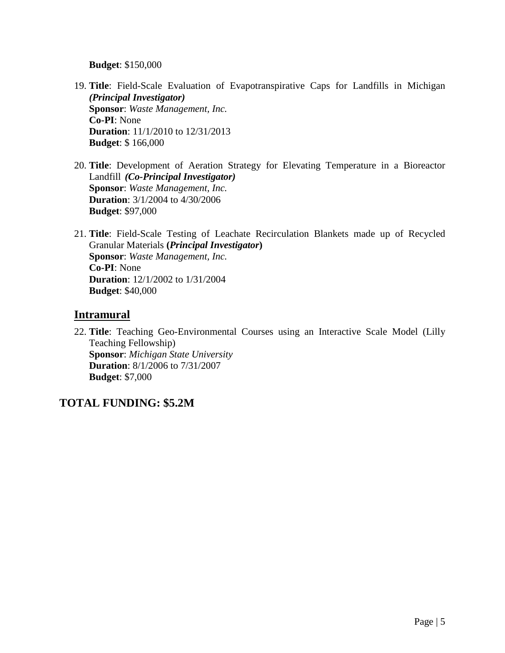**Budget**: \$150,000

- 19. **Title**: Field-Scale Evaluation of Evapotranspirative Caps for Landfills in Michigan *(Principal Investigator)* **Sponsor**: *Waste Management, Inc.* **Co-PI**: None **Duration**: 11/1/2010 to 12/31/2013 **Budget**: \$ 166,000
- 20. **Title**: Development of Aeration Strategy for Elevating Temperature in a Bioreactor Landfill *(Co-Principal Investigator)* **Sponsor**: *Waste Management, Inc.* **Duration**: 3/1/2004 to 4/30/2006 **Budget**: \$97,000
- 21. **Title**: Field-Scale Testing of Leachate Recirculation Blankets made up of Recycled Granular Materials **(***Principal Investigator***) Sponsor**: *Waste Management, Inc.* **Co-PI**: None **Duration**: 12/1/2002 to 1/31/2004 **Budget**: \$40,000

### **Intramural**

22. **Title**: Teaching Geo-Environmental Courses using an Interactive Scale Model (Lilly Teaching Fellowship) **Sponsor**: *Michigan State University* **Duration**: 8/1/2006 to 7/31/2007 **Budget**: \$7,000

## **TOTAL FUNDING: \$5.2M**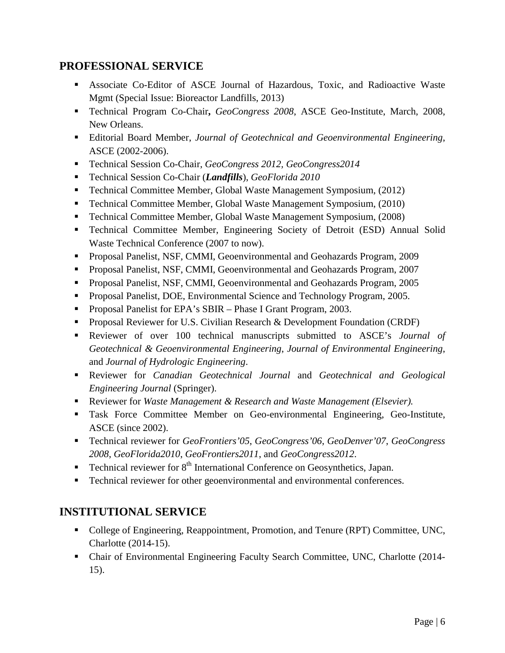## **PROFESSIONAL SERVICE**

- Associate Co-Editor of ASCE Journal of Hazardous, Toxic, and Radioactive Waste Mgmt (Special Issue: Bioreactor Landfills, 2013)
- Technical Program Co-Chair**,** *GeoCongress 2008*, ASCE Geo-Institute, March, 2008, New Orleans.
- Editorial Board Member, *Journal of Geotechnical and Geoenvironmental Engineering*, ASCE (2002-2006).
- Technical Session Co-Chair, *GeoCongress 2012, GeoCongress2014*
- Technical Session Co-Chair (*Landfills*), *GeoFlorida 2010*
- Technical Committee Member, Global Waste Management Symposium, (2012)
- Technical Committee Member, Global Waste Management Symposium, (2010)
- Technical Committee Member, Global Waste Management Symposium, (2008)
- Technical Committee Member, Engineering Society of Detroit (ESD) Annual Solid Waste Technical Conference (2007 to now).
- Proposal Panelist, NSF, CMMI, Geoenvironmental and Geohazards Program, 2009
- **Proposal Panelist, NSF, CMMI, Geoenvironmental and Geohazards Program, 2007**
- Proposal Panelist, NSF, CMMI, Geoenvironmental and Geohazards Program, 2005
- **Proposal Panelist, DOE, Environmental Science and Technology Program, 2005.**
- **Proposal Panelist for EPA's SBIR Phase I Grant Program, 2003.**
- **Proposal Reviewer for U.S. Civilian Research & Development Foundation (CRDF)**
- Reviewer of over 100 technical manuscripts submitted to ASCE's *Journal of Geotechnical & Geoenvironmental Engineering*, *Journal of Environmental Engineering*, and *Journal of Hydrologic Engineering*.
- Reviewer for *Canadian Geotechnical Journal* and *Geotechnical and Geological Engineering Journal* (Springer).
- Reviewer for *Waste Management & Research and Waste Management (Elsevier).*
- Task Force Committee Member on Geo-environmental Engineering, Geo-Institute, ASCE (since 2002).
- Technical reviewer for *GeoFrontiers'05*, *GeoCongress'06*, *GeoDenver'07*, *GeoCongress 2008*, *GeoFlorida2010*, *GeoFrontiers2011*, and *GeoCongress2012*.
- **Technical reviewer for**  $8<sup>th</sup>$  **International Conference on Geosynthetics, Japan.**
- Technical reviewer for other geoenvironmental and environmental conferences.

## **INSTITUTIONAL SERVICE**

- College of Engineering, Reappointment, Promotion, and Tenure (RPT) Committee, UNC, Charlotte (2014-15).
- Chair of Environmental Engineering Faculty Search Committee, UNC, Charlotte (2014- 15).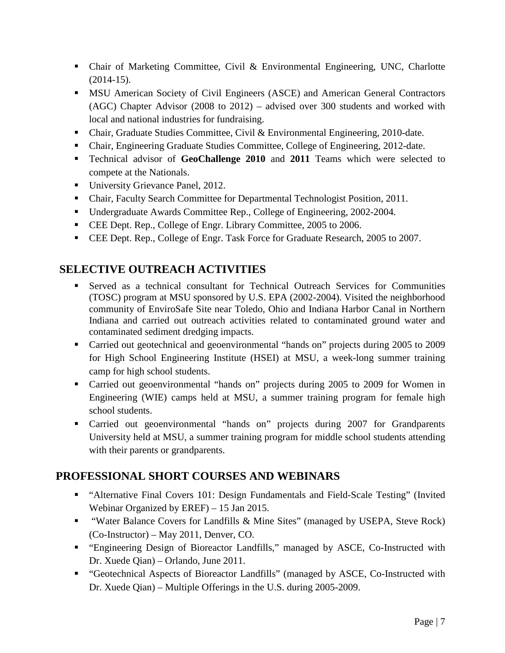- Chair of Marketing Committee, Civil & Environmental Engineering, UNC, Charlotte (2014-15).
- **MSU American Society of Civil Engineers (ASCE) and American General Contractors** (AGC) Chapter Advisor (2008 to 2012) – advised over 300 students and worked with local and national industries for fundraising.
- Chair, Graduate Studies Committee, Civil & Environmental Engineering, 2010-date.
- Chair, Engineering Graduate Studies Committee, College of Engineering, 2012-date.
- Technical advisor of **GeoChallenge 2010** and **2011** Teams which were selected to compete at the Nationals.
- University Grievance Panel, 2012.
- Chair, Faculty Search Committee for Departmental Technologist Position, 2011.
- Undergraduate Awards Committee Rep., College of Engineering, 2002-2004.
- CEE Dept. Rep., College of Engr. Library Committee, 2005 to 2006.
- CEE Dept. Rep., College of Engr. Task Force for Graduate Research, 2005 to 2007.

## **SELECTIVE OUTREACH ACTIVITIES**

- Served as a technical consultant for Technical Outreach Services for Communities (TOSC) program at MSU sponsored by U.S. EPA (2002-2004). Visited the neighborhood community of EnviroSafe Site near Toledo, Ohio and Indiana Harbor Canal in Northern Indiana and carried out outreach activities related to contaminated ground water and contaminated sediment dredging impacts.
- Carried out geotechnical and geoenvironmental "hands on" projects during 2005 to 2009 for High School Engineering Institute (HSEI) at MSU, a week-long summer training camp for high school students.
- Carried out geoenvironmental "hands on" projects during 2005 to 2009 for Women in Engineering (WIE) camps held at MSU, a summer training program for female high school students.
- Carried out geoenvironmental "hands on" projects during 2007 for Grandparents University held at MSU, a summer training program for middle school students attending with their parents or grandparents.

### **PROFESSIONAL SHORT COURSES AND WEBINARS**

- "Alternative Final Covers 101: Design Fundamentals and Field-Scale Testing" (Invited Webinar Organized by EREF) – 15 Jan 2015.
- "Water Balance Covers for Landfills & Mine Sites" (managed by USEPA, Steve Rock) (Co-Instructor) – May 2011, Denver, CO.
- "Engineering Design of Bioreactor Landfills," managed by ASCE, Co-Instructed with Dr. Xuede Qian) – Orlando, June 2011.
- "Geotechnical Aspects of Bioreactor Landfills" (managed by ASCE, Co-Instructed with Dr. Xuede Qian) – Multiple Offerings in the U.S. during 2005-2009.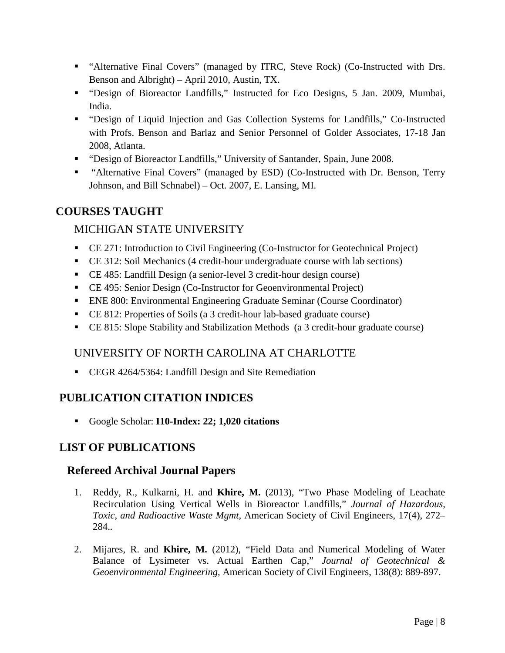- "Alternative Final Covers" (managed by ITRC, Steve Rock) (Co-Instructed with Drs. Benson and Albright) – April 2010, Austin, TX.
- "Design of Bioreactor Landfills," Instructed for Eco Designs, 5 Jan. 2009, Mumbai, India.
- "Design of Liquid Injection and Gas Collection Systems for Landfills," Co-Instructed with Profs. Benson and Barlaz and Senior Personnel of Golder Associates, 17-18 Jan 2008, Atlanta.
- "Design of Bioreactor Landfills," University of Santander, Spain, June 2008.
- "Alternative Final Covers" (managed by ESD) (Co-Instructed with Dr. Benson, Terry Johnson, and Bill Schnabel) – Oct. 2007, E. Lansing, MI.

## **COURSES TAUGHT**

### MICHIGAN STATE UNIVERSITY

- CE 271: Introduction to Civil Engineering (Co-Instructor for Geotechnical Project)
- CE 312: Soil Mechanics (4 credit-hour undergraduate course with lab sections)
- CE 485: Landfill Design (a senior-level 3 credit-hour design course)
- CE 495: Senior Design (Co-Instructor for Geoenvironmental Project)
- ENE 800: Environmental Engineering Graduate Seminar (Course Coordinator)
- CE 812: Properties of Soils (a 3 credit-hour lab-based graduate course)
- CE 815: Slope Stability and Stabilization Methods (a 3 credit-hour graduate course)

### UNIVERSITY OF NORTH CAROLINA AT CHARLOTTE

**CEGR 4264/5364: Landfill Design and Site Remediation** 

## **PUBLICATION CITATION INDICES**

Google Scholar: **I10-Index: 22; 1,020 citations**

## **LIST OF PUBLICATIONS**

#### **Refereed Archival Journal Papers**

- 1. Reddy, R., Kulkarni, H. and **Khire, M.** (2013), "Two Phase Modeling of Leachate Recirculation Using Vertical Wells in Bioreactor Landfills," *Journal of Hazardous, Toxic, and Radioactive Waste Mgmt,* American Society of Civil Engineers, 17(4), 272– 284..
- 2. Mijares, R. and **Khire, M.** (2012), ["Field Data and Numerical Modeling of Water](http://www.astm.org/DIGITAL_LIBRARY/JOURNALS/GEOTECH/PAGES/GTJ103577.htm)  [Balance of Lysimeter](http://www.astm.org/DIGITAL_LIBRARY/JOURNALS/GEOTECH/PAGES/GTJ103577.htm) vs. Actual Earthen Cap," *Journal of Geotechnical & Geoenvironmental Engineering,* American Society of Civil Engineers, 138(8): 889-897.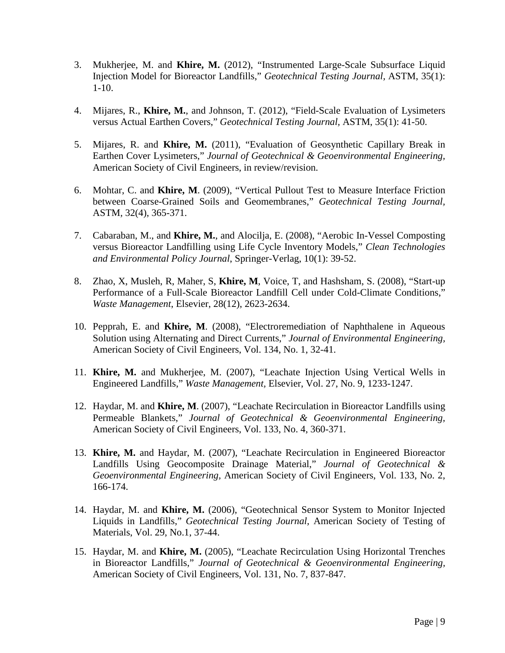- 3. Mukherjee, M. and **Khire, M.** (2012), "Instrumented Large-Scale Subsurface Liquid Injection Model for Bioreactor Landfills," *Geotechnical Testing Journal,* ASTM, 35(1): 1-10.
- 4. Mijares, R., **Khire, M.**, and Johnson, T. (2012), ["Field-Scale Evaluation of Lysimeters](http://www.astm.org/DIGITAL_LIBRARY/JOURNALS/GEOTECH/PAGES/GTJ103577.htm)  [versus Actual Earthen Covers,](http://www.astm.org/DIGITAL_LIBRARY/JOURNALS/GEOTECH/PAGES/GTJ103577.htm)" *Geotechnical Testing Journal,* ASTM, 35(1): 41-50.
- 5. Mijares, R. and **Khire, M.** (2011), "Evaluation of Geosynthetic Capillary Break in Earthen Cover Lysimeters," *Journal of Geotechnical & Geoenvironmental Engineering,*  American Society of Civil Engineers, in review/revision.
- 6. Mohtar, C. and **Khire, M**. (2009), "Vertical Pullout Test to Measure Interface Friction between Coarse-Grained Soils and Geomembranes," *Geotechnical Testing Journal,*  ASTM*,* 32(4), 365-371.
- 7. Cabaraban, M., and **Khire, M.**, and Alocilja, E. (2008), "Aerobic In-Vessel Composting versus Bioreactor Landfilling using Life Cycle Inventory Models," *Clean Technologies and Environmental Policy Journal*, Springer-Verlag, 10(1): 39-52.
- 8. Zhao, X, Musleh, R, Maher, S, **Khire, M**, Voice, T, and Hashsham, S. (2008), "Start-up Performance of a Full-Scale Bioreactor Landfill Cell under Cold-Climate Conditions," *Waste Management*, Elsevier, [28\(12\),](http://www.sciencedirect.com/science?_ob=PublicationURL&_tockey=%23TOC%236017%232008%23999719987%23700658%23FLA%23&_cdi=6017&_pubType=J&view=c&_auth=y&_acct=C000050221&_version=1&_urlVersion=0&_userid=10&md5=bca12944aaeae34c527d6fae4ba2c554) 2623-2634.
- 10. Pepprah, E. and **Khire, M**. (2008), "Electroremediation of Naphthalene in Aqueous Solution using Alternating and Direct Currents," *Journal of Environmental Engineering,*  American Society of Civil Engineers, Vol. 134, No. 1, 32-41.
- 11. **Khire, M.** and Mukherjee, M. (2007), "Leachate Injection Using Vertical Wells in Engineered Landfills," *Waste Management,* Elsevier, Vol. 27, No. 9, 1233-1247.
- 12. Haydar, M. and **Khire, M**. (2007), "Leachate Recirculation in Bioreactor Landfills using Permeable Blankets," *Journal of Geotechnical & Geoenvironmental Engineering,*  American Society of Civil Engineers, Vol. 133, No. 4, 360-371.
- 13. **Khire, M.** and Haydar, M. (2007), "Leachate Recirculation in Engineered Bioreactor Landfills Using Geocomposite Drainage Material," *Journal of Geotechnical & Geoenvironmental Engineering,* American Society of Civil Engineers, Vol. 133, No. 2, 166-174.
- 14. Haydar, M. and **Khire, M.** (2006), "Geotechnical Sensor System to Monitor Injected Liquids in Landfills," *Geotechnical Testing Journal,* American Society of Testing of Materials, Vol. 29, No.1, 37-44.
- 15. Haydar, M. and **Khire, M.** (2005), "Leachate Recirculation Using Horizontal Trenches in Bioreactor Landfills," *Journal of Geotechnical & Geoenvironmental Engineering,*  American Society of Civil Engineers, Vol. 131, No. 7, 837-847.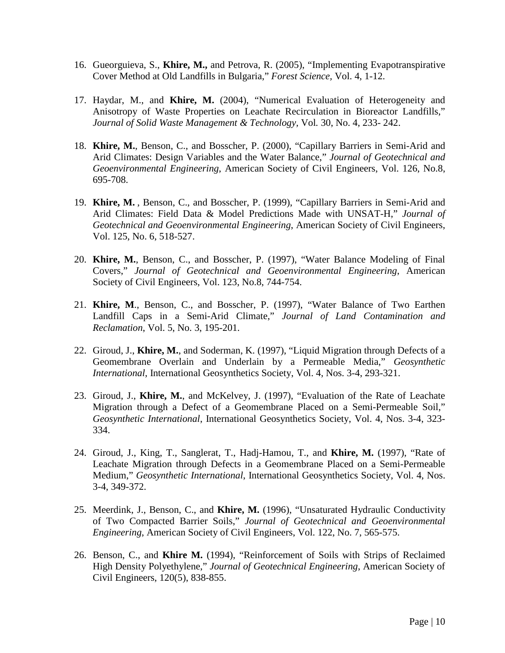- 16. Gueorguieva, S., **Khire, M.,** and Petrova, R. (2005), "Implementing Evapotranspirative Cover Method at Old Landfills in Bulgaria," *Forest Science,* Vol. 4, 1-12.
- 17. Haydar, M., and **Khire, M.** (2004), "Numerical Evaluation of Heterogeneity and Anisotropy of Waste Properties on Leachate Recirculation in Bioreactor Landfills," *Journal of Solid Waste Management & Technology,* Vol*.* 30, No. 4, 233- 242.
- 18. **Khire, M.**, Benson, C., and Bosscher, P. (2000), "Capillary Barriers in Semi-Arid and Arid Climates: Design Variables and the Water Balance," *Journal of Geotechnical and Geoenvironmental Engineering*, American Society of Civil Engineers, Vol. 126, No.8, 695-708.
- 19. **Khire, M.** , Benson, C., and Bosscher, P. (1999), "Capillary Barriers in Semi-Arid and Arid Climates: Field Data & Model Predictions Made with UNSAT-H," *Journal of Geotechnical and Geoenvironmental Engineering*, American Society of Civil Engineers, Vol. 125, No. 6, 518-527.
- 20. **Khire, M.**, Benson, C., and Bosscher, P. (1997), "Water Balance Modeling of Final Covers," *Journal of Geotechnical and Geoenvironmental Engineering*, American Society of Civil Engineers, Vol. 123, No.8, 744-754.
- 21. **Khire, M**., Benson, C., and Bosscher, P. (1997), "Water Balance of Two Earthen Landfill Caps in a Semi-Arid Climate," *Journal of Land Contamination and Reclamation*, Vol. 5, No. 3, 195-201.
- 22. Giroud, J., **Khire, M.**, and Soderman, K. (1997), "Liquid Migration through Defects of a Geomembrane Overlain and Underlain by a Permeable Media," *Geosynthetic International*, International Geosynthetics Society, Vol. 4, Nos. 3-4, 293-321.
- 23. Giroud, J., **Khire, M.**, and McKelvey, J. (1997), "Evaluation of the Rate of Leachate Migration through a Defect of a Geomembrane Placed on a Semi-Permeable Soil," *Geosynthetic International*, International Geosynthetics Society, Vol. 4, Nos. 3-4, 323- 334.
- 24. Giroud, J., King, T., Sanglerat, T., Hadj-Hamou, T., and **Khire, M.** (1997), "Rate of Leachate Migration through Defects in a Geomembrane Placed on a Semi-Permeable Medium," *Geosynthetic International*, International Geosynthetics Society, Vol. 4, Nos. 3-4, 349-372.
- 25. Meerdink, J., Benson, C., and **Khire, M.** (1996), "Unsaturated Hydraulic Conductivity of Two Compacted Barrier Soils," *Journal of Geotechnical and Geoenvironmental Engineering*, American Society of Civil Engineers, Vol. 122, No. 7, 565-575.
- 26. Benson, C., and **Khire M.** (1994), "Reinforcement of Soils with Strips of Reclaimed High Density Polyethylene," *Journal of Geotechnical Engineering*, American Society of Civil Engineers, 120(5), 838-855.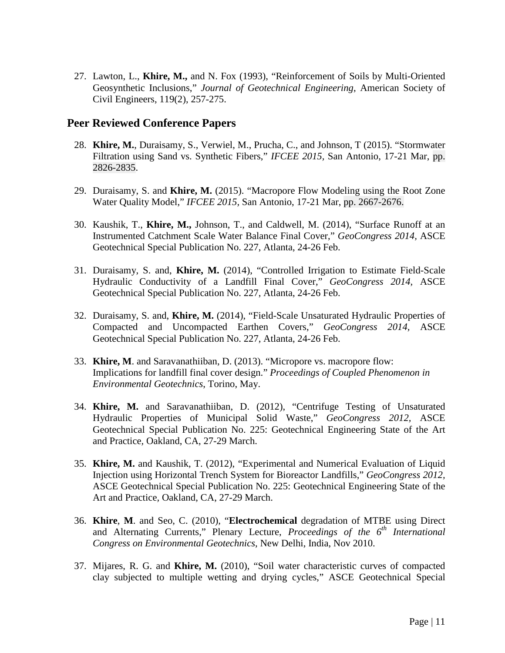27. Lawton, L., **Khire, M.,** and N. Fox (1993), "Reinforcement of Soils by Multi-Oriented Geosynthetic Inclusions," *Journal of Geotechnical Engineering*, American Society of Civil Engineers, 119(2), 257-275.

#### **Peer Reviewed Conference Papers**

- 28. **Khire, M.**, Duraisamy, S., Verwiel, M., Prucha, C., and Johnson, T (2015). "Stormwater Filtration using Sand vs. Synthetic Fibers," *IFCEE 2015,* San Antonio, 17-21 Mar, pp. 2826-2835.
- 29. Duraisamy, S. and **Khire, M.** (2015). "Macropore Flow Modeling using the Root Zone Water Quality Model," *IFCEE 2015,* San Antonio, 17-21 Mar, pp. 2667-2676.
- 30. Kaushik, T., **Khire, M.,** Johnson, T., and Caldwell, M. (2014), "Surface Runoff at an Instrumented Catchment Scale Water Balance Final Cover," *GeoCongress 2014,* ASCE Geotechnical Special Publication No. 227, Atlanta, 24-26 Feb.
- 31. Duraisamy, S. and, **Khire, M.** (2014), "Controlled Irrigation to Estimate Field-Scale Hydraulic Conductivity of a Landfill Final Cover," *GeoCongress 2014,* ASCE Geotechnical Special Publication No. 227, Atlanta, 24-26 Feb.
- 32. Duraisamy, S. and, **Khire, M.** (2014), "Field-Scale Unsaturated Hydraulic Properties of Compacted and Uncompacted Earthen Covers," *GeoCongress 2014,* ASCE Geotechnical Special Publication No. 227, Atlanta, 24-26 Feb.
- 33. **Khire, M**. and Saravanathiiban, D. (2013). "Micropore vs. macropore flow: Implications for landfill final cover design." *Proceedings of Coupled Phenomenon in Environmental Geotechnics*, Torino, May.
- 34. **Khire, M.** and Saravanathiiban, D. (2012), "Centrifuge Testing of Unsaturated Hydraulic Properties of Municipal Solid Waste," *GeoCongress 2012,* ASCE Geotechnical Special Publication No. 225: Geotechnical Engineering State of the Art and Practice*,* Oakland, CA, 27-29 March.
- 35. **Khire, M.** and Kaushik, T. (2012), "Experimental and Numerical Evaluation of Liquid Injection using Horizontal Trench System for Bioreactor Landfills," *GeoCongress 2012,*  ASCE Geotechnical Special Publication No. 225: Geotechnical Engineering State of the Art and Practice*,* Oakland, CA, 27-29 March.
- 36. **Khire**, **M**. and Seo, C. (2010), "**Electrochemical** degradation of MTBE using Direct and Alternating Currents," Plenary Lecture, *Proceedings of the 6<sup>th</sup> International Congress on Environmental Geotechnics*, New Delhi, India, Nov 2010.
- 37. Mijares, R. G. and **Khire, M.** (2010), "Soil water characteristic curves of compacted clay subjected to multiple wetting and drying cycles," ASCE Geotechnical Special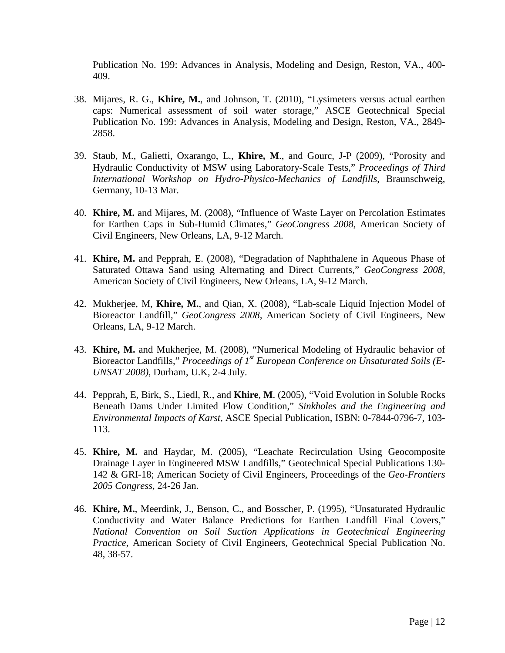Publication No. 199: Advances in Analysis, Modeling and Design, Reston, VA., 400- 409.

- 38. Mijares, R. G., **Khire, M.**, and Johnson, T. (2010), "Lysimeters versus actual earthen caps: Numerical assessment of soil water storage," ASCE Geotechnical Special Publication No. 199: Advances in Analysis, Modeling and Design, Reston, VA., 2849- 2858.
- 39. Staub, M., Galietti, Oxarango, L., **Khire, M**., and Gourc, J-P (2009), "Porosity and Hydraulic Conductivity of MSW using Laboratory-Scale Tests," *Proceedings of Third International Workshop on Hydro-Physico-Mechanics of Landfills*, Braunschweig, Germany, 10-13 Mar.
- 40. **Khire, M.** and Mijares, M. (2008), "Influence of Waste Layer on Percolation Estimates for Earthen Caps in Sub-Humid Climates," *GeoCongress 2008,* American Society of Civil Engineers*,* New Orleans, LA, 9-12 March.
- 41. **Khire, M.** and Pepprah, E. (2008), "Degradation of Naphthalene in Aqueous Phase of Saturated Ottawa Sand using Alternating and Direct Currents," *GeoCongress 2008,*  American Society of Civil Engineers*,* New Orleans, LA, 9-12 March.
- 42. Mukherjee, M, **Khire, M.**, and Qian, X. (2008), "Lab-scale Liquid Injection Model of Bioreactor Landfill," *GeoCongress 2008,* American Society of Civil Engineers*,* New Orleans, LA, 9-12 March.
- 43. **Khire, M.** and Mukherjee, M. (2008), "Numerical Modeling of Hydraulic behavior of Bioreactor Landfills," *Proceedings of 1st European Conference on Unsaturated Soils (E-UNSAT 2008)*, Durham, U.K, 2-4 July.
- 44. Pepprah, E, Birk, S., Liedl, R., and **Khire**, **M**. (2005), "Void Evolution in Soluble Rocks Beneath Dams Under Limited Flow Condition," *Sinkholes and the Engineering and Environmental Impacts of Karst*, ASCE Special Publication, ISBN: 0-7844-0796-7, 103- 113.
- 45. **Khire, M.** and Haydar, M. (2005), "Leachate Recirculation Using Geocomposite Drainage Layer in Engineered MSW Landfills," Geotechnical Special Publications 130- 142 & GRI-18; American Society of Civil Engineers, Proceedings of the *Geo-Frontiers 2005 Congress*, 24-26 Jan.
- 46. **Khire, M.**, Meerdink, J., Benson, C., and Bosscher, P. (1995), "Unsaturated Hydraulic Conductivity and Water Balance Predictions for Earthen Landfill Final Covers," *National Convention on Soil Suction Applications in Geotechnical Engineering Practice*, American Society of Civil Engineers, Geotechnical Special Publication No. 48, 38-57.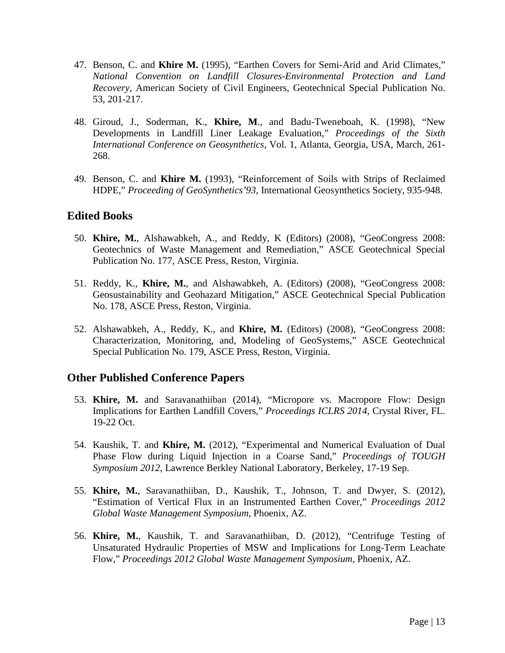- 47. Benson, C. and **Khire M.** (1995), "Earthen Covers for Semi-Arid and Arid Climates," *National Convention on Landfill Closures-Environmental Protection and Land Recovery*, American Society of Civil Engineers, Geotechnical Special Publication No. 53, 201-217.
- 48. Giroud, J., Soderman, K., **Khire, M**., and Badu-Tweneboah, K. (1998), "New Developments in Landfill Liner Leakage Evaluation," *Proceedings of the Sixth International Conference on Geosynthetics*, Vol. 1, Atlanta, Georgia, USA, March, 261- 268.
- 49. Benson, C. and **Khire M.** (1993), "Reinforcement of Soils with Strips of Reclaimed HDPE," *Proceeding of GeoSynthetics'93,* International Geosynthetics Society, 935-948.

#### **Edited Books**

- 50. **Khire, M.**, Alshawabkeh, A., and Reddy, K (Editors) (2008), "GeoCongress 2008: Geotechnics of Waste Management and Remediation," ASCE Geotechnical Special Publication No. 177, ASCE Press, Reston, Virginia.
- 51. Reddy, K., **Khire, M.**, and Alshawabkeh, A. (Editors) (2008), "GeoCongress 2008: Geosustainability and Geohazard Mitigation," ASCE Geotechnical Special Publication No. 178, ASCE Press, Reston, Virginia.
- 52. Alshawabkeh, A., Reddy, K., and **Khire, M.** (Editors) (2008), "GeoCongress 2008: Characterization, Monitoring, and, Modeling of GeoSystems," ASCE Geotechnical Special Publication No. 179, ASCE Press, Reston, Virginia.

### **Other Published Conference Papers**

- 53. **Khire, M.** and Saravanathiiban (2014), "Micropore vs. Macropore Flow: Design Implications for Earthen Landfill Covers," *Proceedings ICLRS 2014*, Crystal River, FL. 19-22 Oct.
- 54. Kaushik, T. and **Khire, M.** (2012), "Experimental and Numerical Evaluation of Dual Phase Flow during Liquid Injection in a Coarse Sand," *Proceedings of TOUGH Symposium 2012*, Lawrence Berkley National Laboratory, Berkeley, 17-19 Sep.
- 55. **Khire, M.**, Saravanathiiban, D., Kaushik, T., Johnson, T. and Dwyer, S. (2012), "Estimation of Vertical Flux in an Instrumented Earthen Cover," *Proceedings 2012 Global Waste Management Symposium*, Phoenix, AZ.
- 56. **Khire, M.**, Kaushik, T. and Saravanathiiban, D. (2012), "Centrifuge Testing of Unsaturated Hydraulic Properties of MSW and Implications for Long-Term Leachate Flow," *Proceedings 2012 Global Waste Management Symposium*, Phoenix, AZ.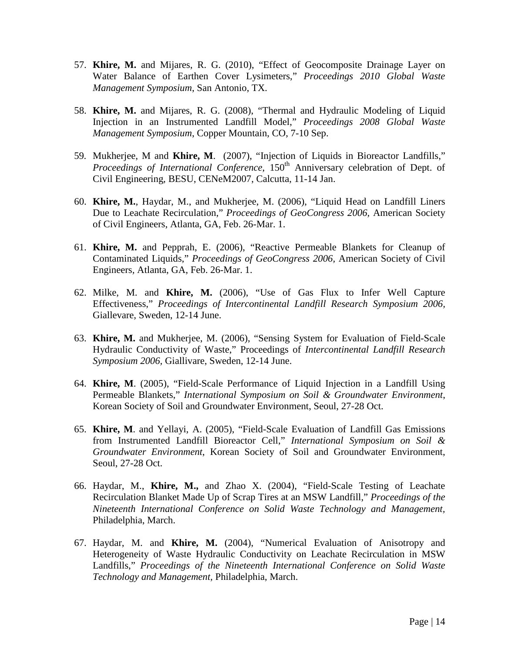- 57. **Khire, M.** and Mijares, R. G. (2010), "Effect of Geocomposite Drainage Layer on Water Balance of Earthen Cover Lysimeters," *Proceedings 2010 Global Waste Management Symposium*, San Antonio, TX.
- 58. **Khire, M.** and Mijares, R. G. (2008), "Thermal and Hydraulic Modeling of Liquid Injection in an Instrumented Landfill Model," *Proceedings 2008 Global Waste Management Symposium*, Copper Mountain, CO, 7-10 Sep.
- 59. Mukherjee, M and **Khire, M**. (2007), "Injection of Liquids in Bioreactor Landfills," *Proceedings of International Conference*, 150<sup>th</sup> Anniversary celebration of Dept. of Civil Engineering, BESU, CENeM2007, Calcutta, 11-14 Jan.
- 60. **Khire, M.**, Haydar, M., and Mukherjee, M. (2006), "Liquid Head on Landfill Liners Due to Leachate Recirculation," *Proceedings of GeoCongress 2006,* American Society of Civil Engineers, Atlanta, GA, Feb. 26-Mar. 1.
- 61. **Khire, M.** and Pepprah, E. (2006), "Reactive Permeable Blankets for Cleanup of Contaminated Liquids," *Proceedings of GeoCongress 2006,* American Society of Civil Engineers*,* Atlanta, GA, Feb. 26-Mar. 1.
- 62. Milke, M. and **Khire, M.** (2006), "Use of Gas Flux to Infer Well Capture Effectiveness," *Proceedings of Intercontinental Landfill Research Symposium 2006,* Giallevare, Sweden, 12-14 June.
- 63. **Khire, M.** and Mukherjee, M. (2006), "Sensing System for Evaluation of Field-Scale Hydraulic Conductivity of Waste," Proceedings of *Intercontinental Landfill Research Symposium 2006,* Giallivare, Sweden, 12-14 June.
- 64. **Khire, M**. (2005), "Field-Scale Performance of Liquid Injection in a Landfill Using Permeable Blankets," *International Symposium on Soil & Groundwater Environment*, Korean Society of Soil and Groundwater Environment, Seoul, 27-28 Oct.
- 65. **Khire, M**. and Yellayi, A. (2005), "Field-Scale Evaluation of Landfill Gas Emissions from Instrumented Landfill Bioreactor Cell," *International Symposium on Soil & Groundwater Environment*, Korean Society of Soil and Groundwater Environment, Seoul, 27-28 Oct.
- 66. Haydar, M., **Khire, M.,** and Zhao X. (2004), "Field-Scale Testing of Leachate Recirculation Blanket Made Up of Scrap Tires at an MSW Landfill," *Proceedings of the Nineteenth International Conference on Solid Waste Technology and Management,*  Philadelphia, March.
- 67. Haydar, M. and **Khire, M.** (2004), "Numerical Evaluation of Anisotropy and Heterogeneity of Waste Hydraulic Conductivity on Leachate Recirculation in MSW Landfills," *Proceedings of the Nineteenth International Conference on Solid Waste Technology and Management,* Philadelphia, March.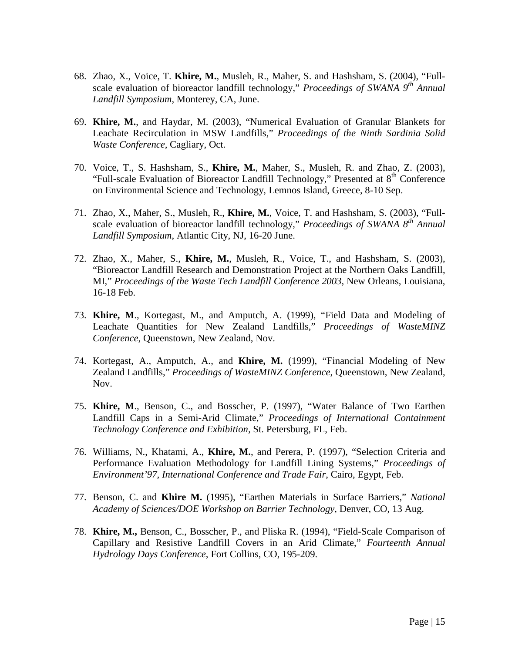- 68. Zhao, X., Voice, T. **Khire, M.**, Musleh, R., Maher, S. and Hashsham, S. (2004), "Fullscale evaluation of bioreactor landfill technology," *Proceedings of SWANA* 9<sup>th</sup> Annual *Landfill Symposium*, Monterey, CA, June.
- 69. **Khire, M.**, and Haydar, M. (2003), "Numerical Evaluation of Granular Blankets for Leachate Recirculation in MSW Landfills," *Proceedings of the Ninth Sardinia Solid Waste Conference,* Cagliary, Oct.
- 70. Voice, T., S. Hashsham, S., **Khire, M.**, Maher, S., Musleh, R. and Zhao, Z. (2003), "Full-scale Evaluation of Bioreactor Landfill Technology," Presented at 8<sup>th</sup> Conference on Environmental Science and Technology, Lemnos Island, Greece, 8-10 Sep.
- 71. Zhao, X., Maher, S., Musleh, R., **Khire, M.**, Voice, T. and Hashsham, S. (2003), "Fullscale evaluation of bioreactor landfill technology," *Proceedings of SWANA 8th Annual Landfill Symposium*, Atlantic City, NJ, 16-20 June.
- 72. Zhao, X., Maher, S., **Khire, M.**, Musleh, R., Voice, T., and Hashsham, S. (2003), "Bioreactor Landfill Research and Demonstration Project at the Northern Oaks Landfill, MI," *Proceedings of the Waste Tech Landfill Conference 2003*, New Orleans, Louisiana, 16-18 Feb.
- 73. **Khire, M**., Kortegast, M., and Amputch, A. (1999), "Field Data and Modeling of Leachate Quantities for New Zealand Landfills," *Proceedings of WasteMINZ Conference*, Queenstown, New Zealand, Nov.
- 74. Kortegast, A., Amputch, A., and **Khire, M.** (1999), "Financial Modeling of New Zealand Landfills," *Proceedings of WasteMINZ Conference*, Queenstown, New Zealand, Nov.
- 75. **Khire, M**., Benson, C., and Bosscher, P. (1997), "Water Balance of Two Earthen Landfill Caps in a Semi-Arid Climate," *Proceedings of International Containment Technology Conference and Exhibition,* St. Petersburg, FL, Feb.
- 76. Williams, N., Khatami, A., **Khire, M.**, and Perera, P. (1997), "Selection Criteria and Performance Evaluation Methodology for Landfill Lining Systems," *Proceedings of Environment'97, International Conference and Trade Fair*, Cairo, Egypt, Feb.
- 77. Benson, C. and **Khire M.** (1995), "Earthen Materials in Surface Barriers," *National Academy of Sciences/DOE Workshop on Barrier Technology*, Denver, CO, 13 Aug.
- 78. **Khire, M.,** Benson, C., Bosscher, P., and Pliska R. (1994), "Field-Scale Comparison of Capillary and Resistive Landfill Covers in an Arid Climate," *Fourteenth Annual Hydrology Days Conference*, Fort Collins, CO, 195-209.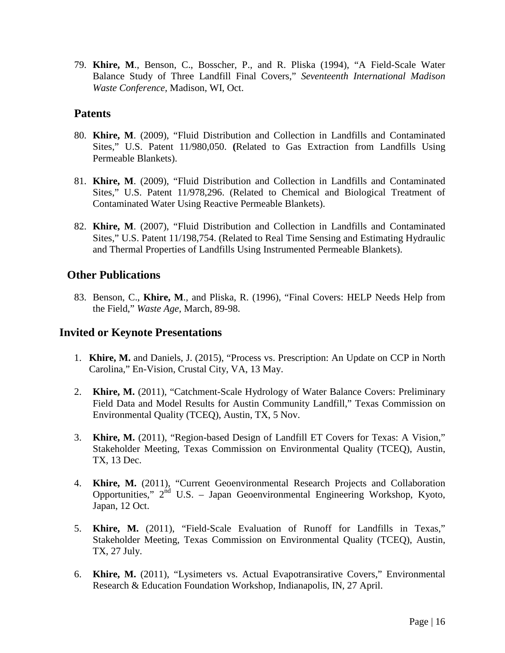79. **Khire, M**., Benson, C., Bosscher, P., and R. Pliska (1994), "A Field-Scale Water Balance Study of Three Landfill Final Covers," *Seventeenth International Madison Waste Conference,* Madison, WI, Oct.

#### **Patents**

- 80. **Khire, M**. (2009), "Fluid Distribution and Collection in Landfills and Contaminated Sites," U.S. Patent 11/980,050. **(**Related to Gas Extraction from Landfills Using Permeable Blankets).
- 81. **Khire, M**. (2009), "Fluid Distribution and Collection in Landfills and Contaminated Sites," U.S. Patent 11/978,296. (Related to Chemical and Biological Treatment of Contaminated Water Using Reactive Permeable Blankets).
- 82. **Khire, M**. (2007), "Fluid Distribution and Collection in Landfills and Contaminated Sites," U.S. Patent 11/198,754. (Related to Real Time Sensing and Estimating Hydraulic and Thermal Properties of Landfills Using Instrumented Permeable Blankets).

#### **Other Publications**

83. Benson, C., **Khire, M**., and Pliska, R. (1996), "Final Covers: HELP Needs Help from the Field," *Waste Age*, March, 89-98.

#### **Invited or Keynote Presentations**

- 1. **Khire, M.** and Daniels, J. (2015), "Process vs. Prescription: An Update on CCP in North Carolina," En-Vision, Crustal City, VA, 13 May.
- 2. **Khire, M.** (2011), "Catchment-Scale Hydrology of Water Balance Covers: Preliminary Field Data and Model Results for Austin Community Landfill," Texas Commission on Environmental Quality (TCEQ), Austin, TX, 5 Nov.
- 3. **Khire, M.** (2011), "Region-based Design of Landfill ET Covers for Texas: A Vision," Stakeholder Meeting, Texas Commission on Environmental Quality (TCEQ), Austin, TX, 13 Dec.
- 4. **Khire, M.** (2011), "Current Geoenvironmental Research Projects and Collaboration Opportunities,"  $2^{nd}$  U.S. – Japan Geoenvironmental Engineering Workshop, Kyoto, Japan, 12 Oct.
- 5. **Khire, M.** (2011), "Field-Scale Evaluation of Runoff for Landfills in Texas," Stakeholder Meeting, Texas Commission on Environmental Quality (TCEQ), Austin, TX, 27 July.
- 6. **Khire, M.** (2011), "Lysimeters vs. Actual Evapotransirative Covers," Environmental Research & Education Foundation Workshop, Indianapolis, IN, 27 April.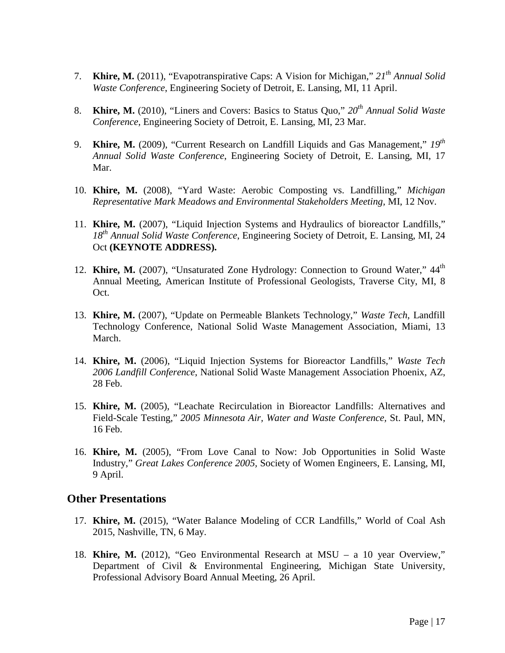- 7. **Khire, M.** (2011), "Evapotranspirative Caps: A Vision for Michigan," *21th Annual Solid Waste Conference*, Engineering Society of Detroit*,* E. Lansing, MI, 11 April.
- 8. **Khire, M.** (2010), "Liners and Covers: Basics to Status Quo," *20th Annual Solid Waste Conference*, Engineering Society of Detroit*,* E. Lansing, MI, 23 Mar.
- 9. **Khire, M.** (2009), "Current Research on Landfill Liquids and Gas Management," *19th Annual Solid Waste Conference*, Engineering Society of Detroit*,* E. Lansing, MI, 17 Mar.
- 10. **Khire, M.** (2008), "Yard Waste: Aerobic Composting vs. Landfilling," *Michigan Representative Mark Meadows and Environmental Stakeholders Meeting,* MI, 12 Nov.
- 11. **Khire, M.** (2007), "Liquid Injection Systems and Hydraulics of bioreactor Landfills," *18th Annual Solid Waste Conference*, Engineering Society of Detroit*,* E. Lansing, MI, 24 Oct **(KEYNOTE ADDRESS).**
- 12. **Khire, M.** (2007), "Unsaturated Zone Hydrology: Connection to Ground Water," 44<sup>th</sup> Annual Meeting, American Institute of Professional Geologists, Traverse City, MI, 8 Oct.
- 13. **Khire, M.** (2007), "Update on Permeable Blankets Technology," *Waste Tech*, Landfill Technology Conference, National Solid Waste Management Association, Miami, 13 March.
- 14. **Khire, M.** (2006), "Liquid Injection Systems for Bioreactor Landfills," *Waste Tech 2006 Landfill Conference*, National Solid Waste Management Association Phoenix, AZ, 28 Feb.
- 15. **Khire, M.** (2005), "Leachate Recirculation in Bioreactor Landfills: Alternatives and Field-Scale Testing," *2005 Minnesota Air, Water and Waste Conference,* St. Paul, MN, 16 Feb.
- 16. **Khire, M.** (2005), "From Love Canal to Now: Job Opportunities in Solid Waste Industry," *Great Lakes Conference 2005,* Society of Women Engineers, E. Lansing, MI, 9 April.

#### **Other Presentations**

- 17. **Khire, M.** (2015), "Water Balance Modeling of CCR Landfills," World of Coal Ash 2015, Nashville, TN, 6 May.
- 18. **Khire, M.** (2012), "Geo Environmental Research at MSU a 10 year Overview," Department of Civil & Environmental Engineering, Michigan State University, Professional Advisory Board Annual Meeting, 26 April.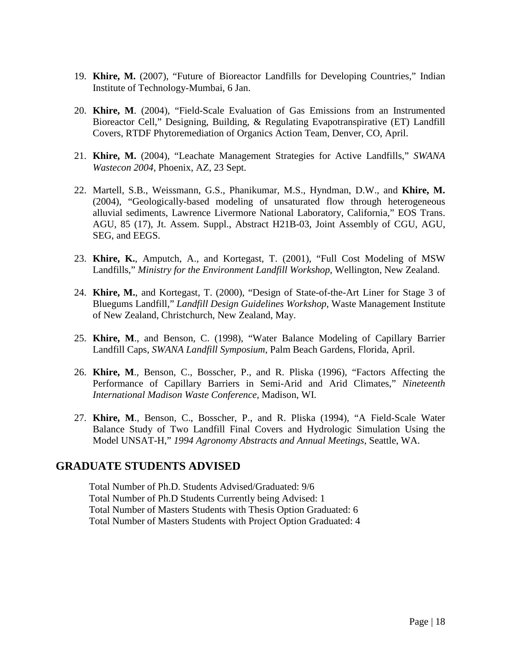- 19. **Khire, M.** (2007), "Future of Bioreactor Landfills for Developing Countries," Indian Institute of Technology-Mumbai, 6 Jan.
- 20. **Khire, M**. (2004), "Field-Scale Evaluation of Gas Emissions from an Instrumented Bioreactor Cell," Designing, Building, & Regulating Evapotranspirative (ET) Landfill Covers, RTDF Phytoremediation of Organics Action Team, Denver, CO, April.
- 21. **Khire, M.** (2004), "Leachate Management Strategies for Active Landfills," *SWANA Wastecon 2004,* Phoenix, AZ, 23 Sept.
- 22. Martell, S.B., Weissmann, G.S., Phanikumar, M.S., Hyndman, D.W., and **Khire, M.** (2004), "Geologically-based modeling of unsaturated flow through heterogeneous alluvial sediments, Lawrence Livermore National Laboratory, California," EOS Trans. AGU, 85 (17), Jt. Assem. Suppl., Abstract H21B-03, Joint Assembly of CGU, AGU, SEG, and EEGS.
- 23. **Khire, K.**, Amputch, A., and Kortegast, T. (2001), "Full Cost Modeling of MSW Landfills," *Ministry for the Environment Landfill Workshop*, Wellington, New Zealand.
- 24. **Khire, M.**, and Kortegast, T. (2000), "Design of State-of-the-Art Liner for Stage 3 of Bluegums Landfill," *Landfill Design Guidelines Workshop*, Waste Management Institute of New Zealand, Christchurch, New Zealand, May.
- 25. **Khire, M**., and Benson, C. (1998), "Water Balance Modeling of Capillary Barrier Landfill Caps, *SWANA Landfill Symposium*, Palm Beach Gardens, Florida, April.
- 26. **Khire, M**., Benson, C., Bosscher, P., and R. Pliska (1996), "Factors Affecting the Performance of Capillary Barriers in Semi-Arid and Arid Climates," *Nineteenth International Madison Waste Conference,* Madison, WI.
- 27. **Khire, M**., Benson, C., Bosscher, P., and R. Pliska (1994), "A Field-Scale Water Balance Study of Two Landfill Final Covers and Hydrologic Simulation Using the Model UNSAT-H," *1994 Agronomy Abstracts and Annual Meetings*, Seattle, WA.

#### **GRADUATE STUDENTS ADVISED**

Total Number of Ph.D. Students Advised/Graduated: 9/6 Total Number of Ph.D Students Currently being Advised: 1 Total Number of Masters Students with Thesis Option Graduated: 6 Total Number of Masters Students with Project Option Graduated: 4